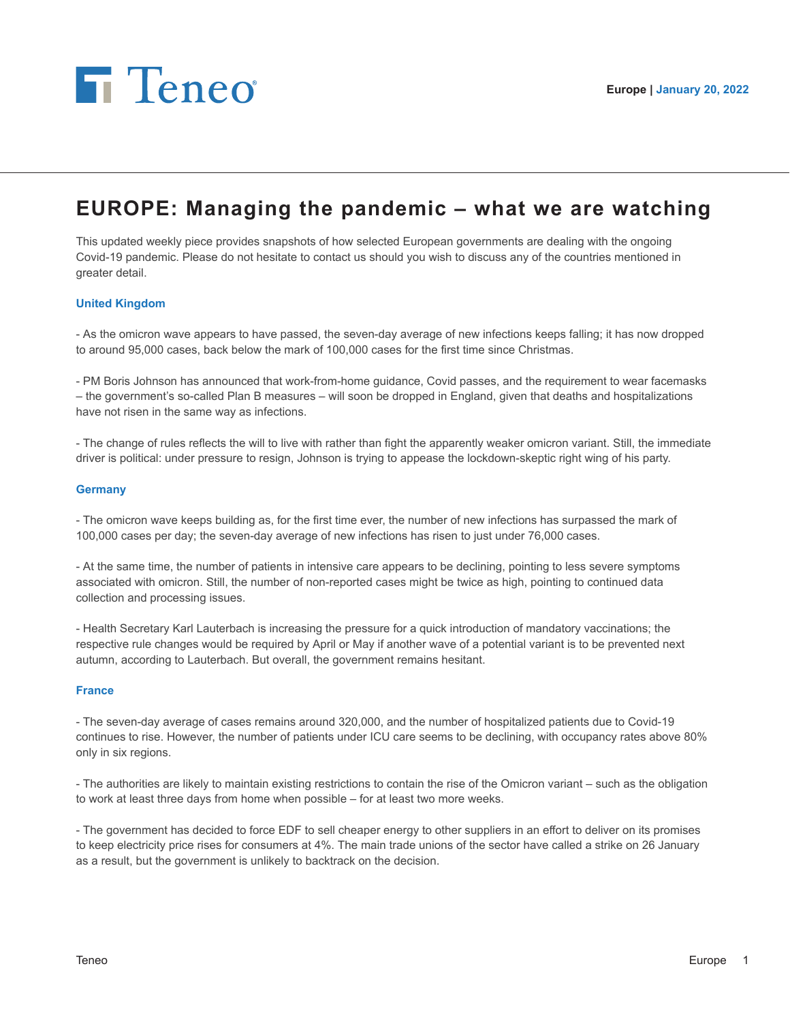

# **EUROPE: Managing the pandemic – what we are watching**

This updated weekly piece provides snapshots of how selected European governments are dealing with the ongoing Covid-19 pandemic. Please do not hesitate to contact us should you wish to discuss any of the countries mentioned in greater detail.

# **United Kingdom**

- As the omicron wave appears to have passed, the seven-day average of new infections keeps falling; it has now dropped to around 95,000 cases, back below the mark of 100,000 cases for the first time since Christmas.

- PM Boris Johnson has announced that work-from-home guidance, Covid passes, and the requirement to wear facemasks – the government's so-called Plan B measures – will soon be dropped in England, given that deaths and hospitalizations have not risen in the same way as infections.

- The change of rules reflects the will to live with rather than fight the apparently weaker omicron variant. Still, the immediate driver is political: under pressure to resign, Johnson is trying to appease the lockdown-skeptic right wing of his party.

#### **Germany**

- The omicron wave keeps building as, for the first time ever, the number of new infections has surpassed the mark of 100,000 cases per day; the seven-day average of new infections has risen to just under 76,000 cases.

- At the same time, the number of patients in intensive care appears to be declining, pointing to less severe symptoms associated with omicron. Still, the number of non-reported cases might be twice as high, pointing to continued data collection and processing issues.

- Health Secretary Karl Lauterbach is increasing the pressure for a quick introduction of mandatory vaccinations; the respective rule changes would be required by April or May if another wave of a potential variant is to be prevented next autumn, according to Lauterbach. But overall, the government remains hesitant.

#### **France**

- The seven-day average of cases remains around 320,000, and the number of hospitalized patients due to Covid-19 continues to rise. However, the number of patients under ICU care seems to be declining, with occupancy rates above 80% only in six regions.

- The authorities are likely to maintain existing restrictions to contain the rise of the Omicron variant – such as the obligation to work at least three days from home when possible – for at least two more weeks.

- The government has decided to force EDF to sell cheaper energy to other suppliers in an effort to deliver on its promises to keep electricity price rises for consumers at 4%. The main trade unions of the sector have called a strike on 26 January as a result, but the government is unlikely to backtrack on the decision.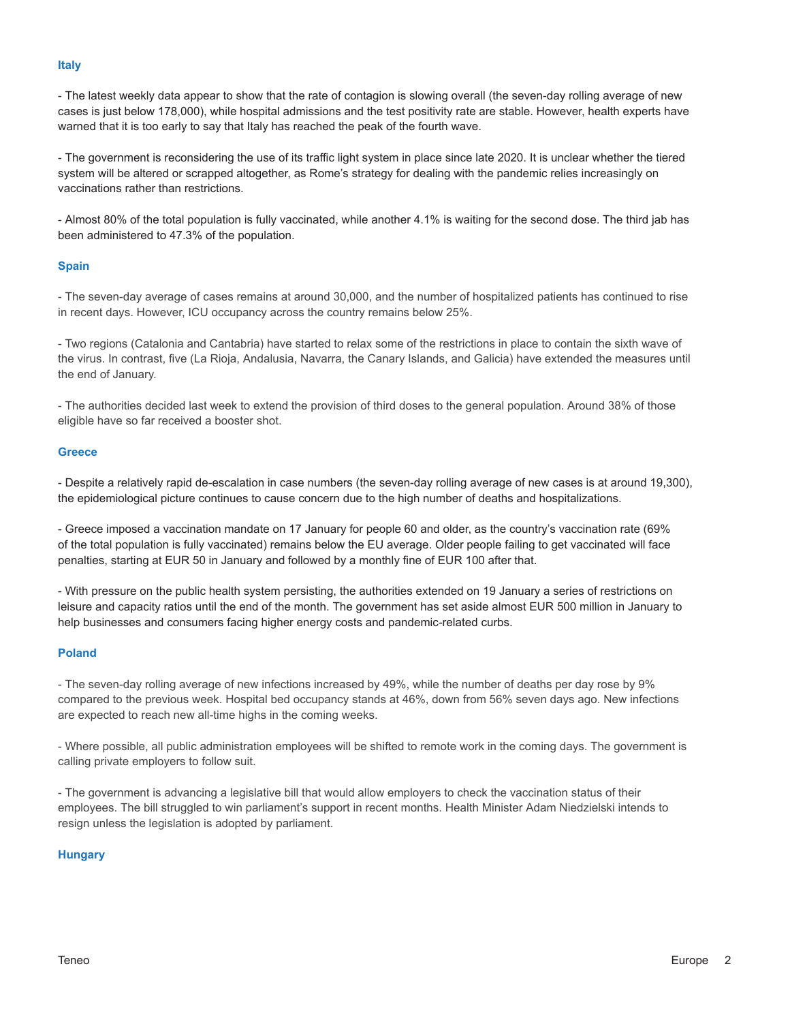### **Italy**

- The latest weekly data appear to show that the rate of contagion is slowing overall (the seven-day rolling average of new cases is just below 178,000), while hospital admissions and the test positivity rate are stable. However, health experts have warned that it is too early to say that Italy has reached the peak of the fourth wave.

- The government is reconsidering the use of its traffic light system in place since late 2020. It is unclear whether the tiered system will be altered or scrapped altogether, as Rome's strategy for dealing with the pandemic relies increasingly on vaccinations rather than restrictions.

- Almost 80% of the total population is fully vaccinated, while another 4.1% is waiting for the second dose. The third jab has been administered to 47.3% of the population.

# **Spain**

- The seven-day average of cases remains at around 30,000, and the number of hospitalized patients has continued to rise in recent days. However, ICU occupancy across the country remains below 25%.

- Two regions (Catalonia and Cantabria) have started to relax some of the restrictions in place to contain the sixth wave of the virus. In contrast, five (La Rioja, Andalusia, Navarra, the Canary Islands, and Galicia) have extended the measures until the end of January.

- The authorities decided last week to extend the provision of third doses to the general population. Around 38% of those eligible have so far received a booster shot.

#### **Greece**

- Despite a relatively rapid de-escalation in case numbers (the seven-day rolling average of new cases is at around 19,300), the epidemiological picture continues to cause concern due to the high number of deaths and hospitalizations.

- Greece imposed a vaccination mandate on 17 January for people 60 and older, as the country's vaccination rate (69% of the total population is fully vaccinated) remains below the EU average. Older people failing to get vaccinated will face penalties, starting at EUR 50 in January and followed by a monthly fine of EUR 100 after that.

- With pressure on the public health system persisting, the authorities extended on 19 January a series of restrictions on leisure and capacity ratios until the end of the month. The government has set aside almost EUR 500 million in January to help businesses and consumers facing higher energy costs and pandemic-related curbs.

# **Poland**

- The seven-day rolling average of new infections increased by 49%, while the number of deaths per day rose by 9% compared to the previous week. Hospital bed occupancy stands at 46%, down from 56% seven days ago. New infections are expected to reach new all-time highs in the coming weeks.

- Where possible, all public administration employees will be shifted to remote work in the coming days. The government is calling private employers to follow suit.

- The government is advancing a legislative bill that would allow employers to check the vaccination status of their employees. The bill struggled to win parliament's support in recent months. Health Minister Adam Niedzielski intends to resign unless the legislation is adopted by parliament.

# **Hungary**